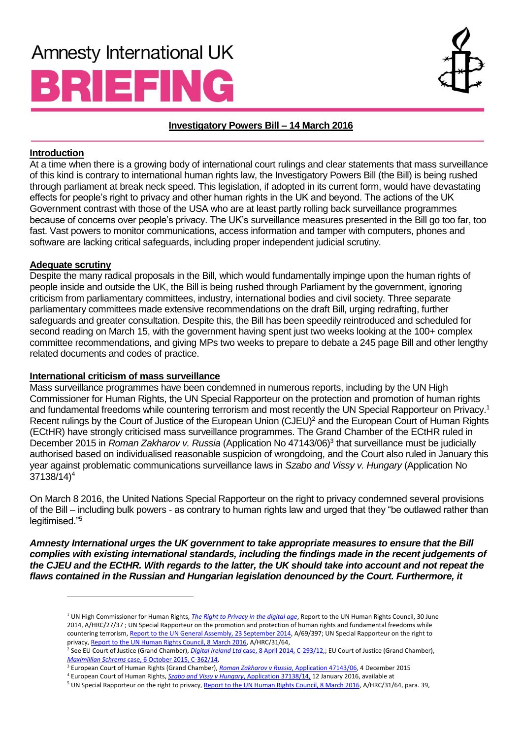# **Amnesty International UK** BRIEFING



## **Investigatory Powers Bill – 14 March 2016**

## **Introduction**

At a time when there is a growing body of international court rulings and clear statements that mass surveillance of this kind is contrary to international human rights law, the Investigatory Powers Bill (the Bill) is being rushed through parliament at break neck speed. This legislation, if adopted in its current form, would have devastating effects for people's right to privacy and other human rights in the UK and beyond. The actions of the UK Government contrast with those of the USA who are at least partly rolling back surveillance programmes because of concerns over people's privacy. The UK's surveillance measures presented in the Bill go too far, too fast. Vast powers to monitor communications, access information and tamper with computers, phones and software are lacking critical safeguards, including proper independent judicial scrutiny.

## **Adequate scrutiny**

 $\overline{a}$ 

Despite the many radical proposals in the Bill, which would fundamentally impinge upon the human rights of people inside and outside the UK, the Bill is being rushed through Parliament by the government, ignoring criticism from parliamentary committees, industry, international bodies and civil society. Three separate parliamentary committees made extensive recommendations on the draft Bill, urging redrafting, further safeguards and greater consultation. Despite this, the Bill has been speedily reintroduced and scheduled for second reading on March 15, with the government having spent just two weeks looking at the 100+ complex committee recommendations, and giving MPs two weeks to prepare to debate a 245 page Bill and other lengthy related documents and codes of practice.

## **International criticism of mass surveillance**

Mass surveillance programmes have been condemned in numerous reports, including by the UN High Commissioner for Human Rights, the UN Special Rapporteur on the protection and promotion of human rights and fundamental freedoms while countering terrorism and most recently the UN Special Rapporteur on Privacy.<sup>1</sup> Recent rulings by the Court of Justice of the European Union (CJEU)<sup>2</sup> and the European Court of Human Rights (ECtHR) have strongly criticised mass surveillance programmes. The Grand Chamber of the ECtHR ruled in December 2015 in *Roman Zakharov v. Russia* (Application No 47143/06)<sup>3</sup> that surveillance must be judicially authorised based on individualised reasonable suspicion of wrongdoing, and the Court also ruled in January this year against problematic communications surveillance laws in *Szabo and Vissy v. Hungary* (Application No  $37138/14$ <sup>4</sup>

On March 8 2016, the United Nations Special Rapporteur on the right to privacy condemned several provisions of the Bill – including bulk powers - as contrary to human rights law and urged that they "be outlawed rather than legitimised."<sup>5</sup>

*Amnesty International urges the UK government to take appropriate measures to ensure that the Bill complies with existing international standards, including the findings made in the recent judgements of the CJEU and the ECtHR. With regards to the latter, the UK should take into account and not repeat the flaws contained in the Russian and Hungarian legislation denounced by the Court. Furthermore, it* 

3 European Court of Human Rights (Grand Chamber), *[Roman Zakharov v Russia](http://hudoc.echr.coe.int/eng?i=001-159324)*, Application 47143/06, 4 December 2015

<sup>1</sup> UN High Commissioner for Human Rights, *[The Right to Privacy in the digital age](http://www.ohchr.org/Documents/Issues/DigitalAge/A-HRC-27-37_en.doc)*, Report to the UN Human Rights Council, 30 June 2014, A/HRC/27/37 ; UN Special Rapporteur on the promotion and protection of human rights and fundamental freedoms while countering terrorism[, Report to the UN General Assembly, 23 September 2014,](http://www.ohchr.org/EN/newyork/Pages/HRreportstothe69thsessionGA.aspx) A/69/397; UN Special Rapporteur on the right to privacy[, Report to the UN Human Rights Council, 8 March 2016,](http://www.ohchr.org/EN/HRBodies/HRC/RegularSessions/Session31/Documents/A-HRC-31-64.doc) A/HRC/31/64,

<sup>2</sup> See EU Court of Justice (Grand Chamber), *Digital Ireland Ltd* [case, 8 April 2014, C-293/12,;](http://curia.europa.eu/juris/document/document.jsf;jsessionid=9ea7d0f130d5ebe55dd300234a7a9d63862b400de9c6.e34KaxiLc3eQc40LaxqMbN4OcheMe0?text=&docid=150642&pageIndex=0&doclang=EN&mode=req&dir=&occ=first&part=1&cid=147300) EU Court of Justice (Grand Chamber), *Maximillian Schrems* [case, 6 October 2015, C-362/14,](http://curia.europa.eu/juris/document/document.jsf?text=&docid=169195&pageIndex=0&doclang=EN&mode=req&dir=&occ=first&part=1&cid=147876)

<sup>4</sup> European Court of Human Rights, *[Szabo and Vissy v Hungary](http://hudoc.echr.coe.int/eng?i=001-160020)*, Application 37138/14, 12 January 2016, available at

<sup>&</sup>lt;sup>5</sup> UN Special Rapporteur on the right to privacy[, Report to the UN Human Rights Council, 8 March 2016,](http://www.ohchr.org/EN/HRBodies/HRC/RegularSessions/Session31/Documents/A-HRC-31-64.doc) A/HRC/31/64, para. 39,